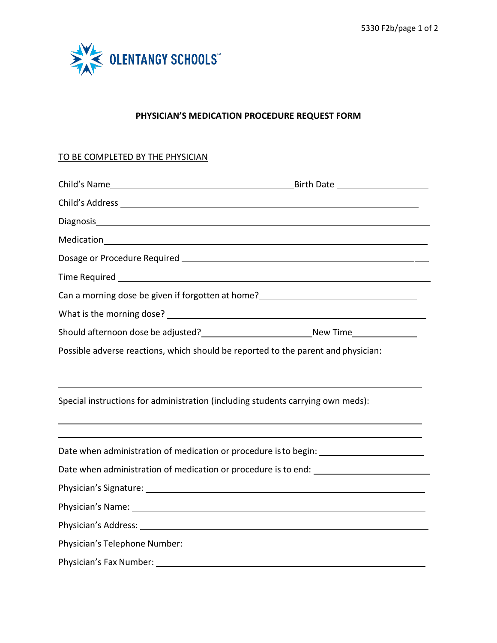

## **PHYSICIAN'S MEDICATION PROCEDURE REQUEST FORM**

## TO BE COMPLETED BY THE PHYSICIAN

|                                                                                                                                                | Can a morning dose be given if forgotten at home?<br><u>Can a morning dose be given if forgotten at home?</u> |
|------------------------------------------------------------------------------------------------------------------------------------------------|---------------------------------------------------------------------------------------------------------------|
|                                                                                                                                                |                                                                                                               |
|                                                                                                                                                |                                                                                                               |
| Possible adverse reactions, which should be reported to the parent and physician:                                                              |                                                                                                               |
|                                                                                                                                                |                                                                                                               |
| <u> 1989 - Johann Stoff, amerikansk politiker (d. 1989)</u><br>Special instructions for administration (including students carrying own meds): |                                                                                                               |
| Date when administration of medication or procedure is to begin:                                                                               |                                                                                                               |
| Date when administration of medication or procedure is to end: _________________                                                               |                                                                                                               |
|                                                                                                                                                |                                                                                                               |
|                                                                                                                                                |                                                                                                               |
|                                                                                                                                                |                                                                                                               |
|                                                                                                                                                |                                                                                                               |
| Physician's Fax Number: _____                                                                                                                  |                                                                                                               |